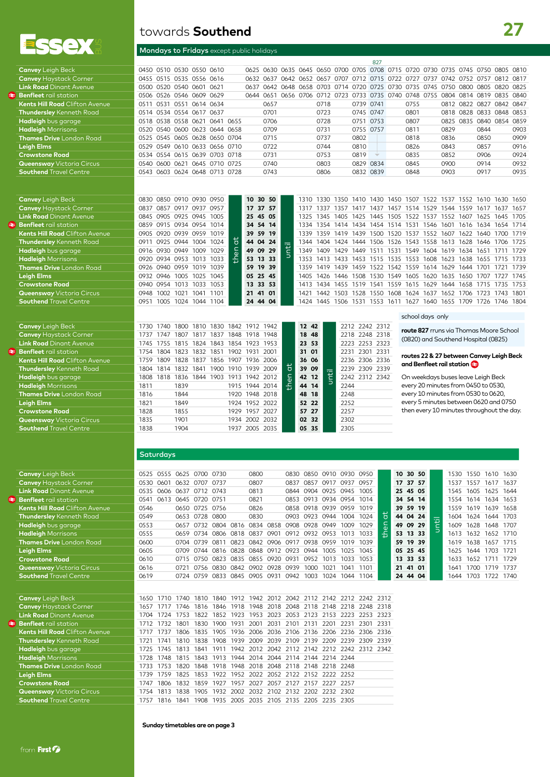

**Benfleet** rail station

**Benfleet** rail station

### towards **Southend**

### Mondays to Fridays except public holidays

|                                       |      |      |                               |  |      |                                                                                 |  |                                              |           | 827 |      |           |      |                          |           |      |
|---------------------------------------|------|------|-------------------------------|--|------|---------------------------------------------------------------------------------|--|----------------------------------------------|-----------|-----|------|-----------|------|--------------------------|-----------|------|
| <b>Canvey</b> Leigh Beck              |      |      | 0450 0510 0530 0550 0610      |  |      | 0625 0630 0635 0645 0650 0700 0705 0708 0715 0720 0730 0735 0745 0750 0805 0810 |  |                                              |           |     |      |           |      |                          |           |      |
| <b>Canvey Haystack Corner</b>         |      |      | 0455 0515 0535 0556 0616      |  |      | 0632 0637 0642 0652 0657 0707 0712 0715 0722 0727 0737 0742 0752 0757 0812 0817 |  |                                              |           |     |      |           |      |                          |           |      |
| <b>Link Road</b> Dinant Avenue        |      |      | 0500 0520 0540 0601 0621      |  | 0637 | 0642 0648 0658 0703 0714 0720 0725 0730 0735 0745 0750 0800                     |  |                                              |           |     |      |           |      | 0805                     | 0820 0825 |      |
| <b>Benfleet</b> rail station          |      |      | 0506 0526 0546 0609 0629      |  | 0644 | 0651                                                                            |  | 0656 0706 0712 0723 0733 0735 0740 0748 0755 |           |     |      | 0804 0814 |      | 0819 0835 0840           |           |      |
| <b>Kents Hill Road</b> Clifton Avenue | 0511 | 0531 | 0551 0614 0634                |  |      | 0657                                                                            |  | 0718                                         | 0739 0741 |     | 0755 |           |      | 0812 0822 0827 0842 0847 |           |      |
| <b>Thundersley</b> Kenneth Road       |      |      | 0514 0534 0554 0617 0637      |  |      | 0701                                                                            |  | 0723                                         | 0745 0747 |     | 0801 | 0818      | 0828 | 0833 0848 0853           |           |      |
| Hadleigh bus garage                   |      |      | 0518 0538 0558 0621 0641 0655 |  |      | 0706                                                                            |  | 0728                                         | 0751 0753 |     | 0807 | 0825 0835 |      | 0840 0854 0859           |           |      |
| <b>Hadleigh</b> Morrisons             |      |      | 0520 0540 0600 0623 0644 0658 |  |      | 0709                                                                            |  | 0731                                         | 0755 0757 |     | 0811 | 0829      |      | 0844                     |           | 0903 |
| <b>Thames Drive</b> London Road       |      |      | 0525 0545 0605 0628 0650 0704 |  |      | 0715                                                                            |  | 0737                                         | 0802      |     | 0818 | 0836      |      | 0850                     |           | 0909 |
| Leigh Elms                            |      |      | 0529 0549 0610 0633 0656 0710 |  |      | 0722                                                                            |  | 0744                                         | 0810      |     | 0826 | 0843      |      | 0857                     |           | 0916 |
| <b>Crowstone Road</b>                 |      |      | 0534 0554 0615 0639 0703 0718 |  |      | 0731                                                                            |  | 0753                                         | 0819      |     | 0835 | 0852      |      | 0906                     |           | 0924 |
| <b>Queensway</b> Victoria Circus      |      |      | 0540 0600 0621 0645 0710 0725 |  |      | 0740                                                                            |  | 0803                                         | 0829 0834 |     | 0845 | 0900      |      | 0914                     |           | 0932 |
| <b>Southend</b> Travel Centre         |      |      | 0543 0603 0624 0648 0713 0728 |  |      | 0743                                                                            |  | 0806                                         | 0832 0839 |     | 0848 | 0903      |      | 0917                     |           | 0935 |
|                                       |      |      |                               |  |      |                                                                                 |  |                                              |           |     |      |           |      |                          |           |      |

| <b>Canvey</b> Leigh Beck              |      |      |                          |           | 0830 0850 0910 0930 0950 |                | 10 30 50 |   | 1310 1330      |           | 1350                                         | 1410 1430 1450 1507                |      |                |                     |      | 1522 1537 1552 |      | 1610 1630 1650                                                   |                |      |
|---------------------------------------|------|------|--------------------------|-----------|--------------------------|----------------|----------|---|----------------|-----------|----------------------------------------------|------------------------------------|------|----------------|---------------------|------|----------------|------|------------------------------------------------------------------|----------------|------|
| <b>Canvey Haystack Corner</b>         |      |      | 0837 0857 0917 0937 0957 |           |                          |                | 17 37 57 |   |                | 1337      | 1357                                         | 1417                               | 1437 | 1457           | 1514 1529 1544 1559 |      |                |      | 1617                                                             | 1637 1657      |      |
| <b>Link Road</b> Dinant Avenue        |      |      | 0845 0905 0925 0945 1005 |           |                          |                | 25 45 05 |   | 1325 1345      |           | 1405 1425 1445 1505 1522 1537 1552 1607      |                                    |      |                |                     |      |                |      | 1625 1645 1705                                                   |                |      |
| <b>Benfleet</b> rail station          |      |      | 0859 0915 0934 0954 1014 |           |                          |                | 34 54 14 |   |                |           | 1334 1354 1414 1434 1454 1514 1531           |                                    |      |                |                     |      |                |      | 1546 1601 1616 1634 1654 1714                                    |                |      |
| <b>Kents Hill Road</b> Clifton Avenue |      |      | 0905 0920 0939 0959 1019 |           |                          |                | 39 59 19 |   |                |           |                                              |                                    |      |                |                     |      |                |      | 1339 1359 1419 1439 1500 1520 1537 1552 1607 1622 1640 1700 1719 |                |      |
| <b>Thundersley</b> Kenneth Road       |      |      | 0911 0925 0944 1004 1024 |           |                          | $\overline{a}$ | 44 04 24 |   |                | 1344 1404 | 1424                                         | 1444 1506 1526 1543 1558 1613 1628 |      |                |                     |      |                |      | 1646                                                             | 1706 1725      |      |
| Hadleigh bus garage                   |      |      | 0916 0930 0949           | 1009 1029 |                          |                | 49 09 29 | 는 |                | 1349 1409 | 1429                                         | 1449                               | 1511 | 1531           | 1549                |      | 1604 1619 1634 |      | 1651                                                             |                | 1729 |
| <b>Hadleigh</b> Morrisons             |      |      | 0920 0934 0953 1013 1033 |           |                          |                | 53 13 33 |   |                |           |                                              |                                    |      |                |                     |      |                |      | 1353 1413 1433 1453 1515 1535 1553 1608 1623 1638 1655 1715 1733 |                |      |
| <b>Thames Drive</b> London Road       |      |      | 0926 0940 0959 1019 1039 |           |                          |                | 59 19 39 |   | 1359 1419 1439 |           |                                              | 1459                               |      | 1522 1542 1559 |                     |      | 1614 1629 1644 |      | 1701                                                             | 1721           | 1739 |
| Leigh Elms                            |      |      | 0932 0946 1005 1025 1045 |           |                          |                | 05 25 45 |   |                | 1405 1426 | 1446 1508 1530 1549 1605 1620 1635 1650 1707 |                                    |      |                |                     |      |                |      |                                                                  | 1727 1745      |      |
| <b>Crowstone Road</b>                 |      |      | 0940 0954 1013           |           | 1033 1053                |                | 13 33 53 |   |                | 1413 1434 | 1455 1519                                    |                                    | 1541 | 1559           | 1615 1629           |      | 1644 1658      |      |                                                                  | 1715 1735 1753 |      |
| <b>Queensway Victoria Circus</b>      | 0948 | 1002 | 1021                     | 1041      | 1101                     |                | 21 41 01 |   | 1421           | 1442      | 1503                                         | 1528                               | 1550 | 1608           | 1624                | 1637 | 1652           | 1706 | 1723                                                             | 1743           | 1801 |
| <b>Southend</b> Travel Centre         | 0951 |      |                          |           | 1005 1024 1044 1104      |                | 24 44 04 |   |                |           | 1424 1445 1506                               | 1531                               | 1553 | 1611           | 1627                |      | 1640 1655 1709 |      | 1726                                                             | 1746 1804      |      |
|                                       |      |      |                          |           |                          |                |          |   |                |           |                                              |                                    |      |                |                     |      |                |      |                                                                  |                |      |

| <b>Canvey</b> Leigh Beck              | 1730      | 1740 |           |      |      | 1800 1810 1830 1842 1912 1942 |                |      |                | 12 42 |    |   |      | 2212 2242 2312 |  |
|---------------------------------------|-----------|------|-----------|------|------|-------------------------------|----------------|------|----------------|-------|----|---|------|----------------|--|
| <b>Canvey Haystack Corner</b>         | 1737      | 747  | 1807      | 1817 | 1837 | 1848 1918 1948                |                |      |                | 18 48 |    |   |      | 2218 2248 2318 |  |
| <b>Link Road</b> Dinant Avenue        | 1745 1755 |      | 1815      |      |      | 1824 1843 1854 1923 1953      |                |      |                | 23 53 |    |   |      | 2223 2253 2323 |  |
| <b>Benfleet</b> rail station          | 1754      | 1804 | 1823      | 1832 | 1851 | 1902                          | 1931           | 2001 |                | 31 01 |    |   |      | 2231 2301 2331 |  |
| <b>Kents Hill Road</b> Clifton Avenue | 1759      | 1809 | 1828      | 1837 |      | 1856 1907 1936 2006           |                |      |                | 36 06 |    |   |      | 2236 2306 2336 |  |
| Thundersley Kenneth Road              | 1804      | 1814 | 1832 1841 |      |      | 1900 1910 1939 2009           |                |      | đ              | 39 09 |    |   |      | 2239 2309 2339 |  |
| Hadleigh bus garage                   | 1808      | 1818 | 1836      |      |      | 1844 1903 1913                | 1942 2012      |      | $\overline{6}$ | 42 12 |    | 官 |      | 2242 2312 2342 |  |
| <b>Hadleigh</b> Morrisons             | 1811      |      | 1839      |      |      |                               | 1915 1944 2014 |      | 훔              | 44 14 |    |   | 2244 |                |  |
| <b>Thames Drive</b> London Road       | 1816      |      | 1844      |      |      |                               | 1920 1948 2018 |      |                | 48    | 18 |   | 2248 |                |  |
| <b>Leigh Elms</b>                     | 1821      |      | 1849      |      |      |                               | 1924 1952 2022 |      |                | 52 22 |    |   | 2252 |                |  |
| <b>Crowstone Road</b>                 | 1828      |      | 1855      |      |      |                               | 1929 1957 2027 |      |                | 57 27 |    |   | 2257 |                |  |
| <b>Queensway</b> Victoria Circus      | 1835      |      | 1901      |      |      |                               | 1934 2002 2032 |      |                | 02 32 |    |   | 2302 |                |  |
| <b>Southend Travel Centre</b>         | 1838      |      | 1904      |      |      | 1937                          | 2005 2035      |      |                | 05 35 |    |   | 2305 |                |  |

#### school days only

**route 827** rruns via Thomas Moore School (0820) and Southend Hospital (0825)

#### **routes 22 & 27 between Canvey Leigh Beck and Benfleet rail station**

On weekdays buses leave Leigh Beck every 20 minutes from 0450 to 0530, every 10 minutes from 0530 to 0620, every 5 minutes between 0620 and 0750 then every 10 minutes throughout the day.

#### **Saturdays**

| <b>Canvey</b> Leigh Beck              | 0525 | 0555      | 0625 | 0700                     | 0730 | 0800           |           | 0830           | 0850      | 0910 0930 0950      |      |      |                    | 10 30 50 |  |      | 1530 1550 | 1610 1630           |  |
|---------------------------------------|------|-----------|------|--------------------------|------|----------------|-----------|----------------|-----------|---------------------|------|------|--------------------|----------|--|------|-----------|---------------------|--|
| <b>Canvey Haystack Corner</b>         | 0530 | 0601      |      | 0632 0707                | O737 | 0807           |           | 0837           | 0857      | O917                | 0937 | 0957 |                    | 17 37 57 |  | 1537 | 1557      | 1617 1637           |  |
| <b>Link Road</b> Dinant Avenue        |      | 0535 0606 | 0637 | 0712 0743                |      | 0813           |           | 0844           |           | 0904 0925 0945      |      | 1005 |                    | 25 45 05 |  |      |           | 1545 1605 1625 1644 |  |
| <b>Benfleet</b> rail station          | 0541 |           |      | 0613 0645 0720 0751      |      | 0821           |           |                |           | 0853 0913 0934 0954 |      | 1014 |                    | 34 54 14 |  | 1554 |           | 1614 1634 1653      |  |
| <b>Kents Hill Road</b> Clifton Avenue | 0546 |           |      | 0650 0725 0756           |      | 0826           |           |                |           | 0858 0918 0939 0959 |      | 1019 |                    | 39 59 19 |  | 1559 |           | 1619 1639 1658      |  |
| <b>Thundersley</b> Kenneth Road       | 0549 |           |      | 0653 0728 0800           |      | 0830           |           |                |           | 0903 0923 0944      | 1004 | 1024 | ਨ                  | 44 04 24 |  | 1604 | 1624      | 1644 1703           |  |
| Hadleigh bus garage                   | 0553 |           | 0657 | 0732 0804                |      | 0816 0834 0858 |           | 0908 0928 0949 |           |                     | 1009 | 1029 | $\frac{c}{\theta}$ | 49 09 29 |  | 1609 |           | 1628 1648 1707      |  |
| <b>Hadleigh</b> Morrisons             | 0555 |           |      | 0659 0734 0806 0818 0837 |      |                | 0901      | 0912 0932 0953 |           |                     | 1013 | 1033 | Æ                  | 53 13 33 |  |      |           | 1613 1632 1652 1710 |  |
| <b>Thames Drive</b> London Road       | 0600 |           | 0704 | O739                     | 0811 | 0823 0842      | 0906 0917 |                | 0938 0959 |                     | 1019 | 1039 |                    | 59 19 39 |  | 1619 | 1638      | 1657 1715           |  |
| Leigh Elms                            | 0605 |           | O709 | 0744                     | O816 | 0828 0848      | 0912      | 0923           | 0944      | 1005                | 1025 | 1045 |                    | 05 25 45 |  | 1625 | 1644      | 1703 1721           |  |
| <b>Crowstone Road</b>                 | 0610 |           | 0715 | O750                     | O823 | 0835 0855 0920 |           | 0931           | 0952      | 1013                | 1033 | 1053 |                    | 13 33 53 |  | 1633 | 1652      | 1711 1729           |  |
| <b>Queensway</b> Victoria Circus      | 0616 |           | 0721 | 0756                     | 0830 | 0842 0902      | 0928      | 0939           | 1000      | 1021                | 1041 | 1101 |                    | 21 41 01 |  | 1641 | 1700      | 1719 1737           |  |
| <b>Southend Travel Centre</b>         | 0619 |           | 0724 | 0759 0833                |      | 0845 0905      | 0931      | 0942           | 1003      | 1024                | 1044 | 1104 |                    | 24 44 04 |  | 1644 | 1703      | 1722 1740           |  |
|                                       |      |           |      |                          |      |                |           |                |           |                     |      |      |                    |          |  |      |           |                     |  |

Canvey Leigh Beck 1650 1710 1740 1810 1840 1912 1942 2012 2042 2112 2142 2212 2242 2312<br>
Canvey Haystack Corner 1657 1717 1746 1816 1846 1918 1948 2018 2048 2118 2148 2218 2248 2318<br>

Link Road Dinant Avenue 1704 1724 1753 **Canvey** Haystack Corner 1657 1717 1746 1816 1846 1918 1948 2018 2048 2118 2148 2218 2248 2318 **Link Road** Dinant Avenue 1704 1724 1753 1822 1852 1923 1953 2023 2053 2123 2153 2223 2253 2323 **Benfleet** rail station 1712 1732 1801 1830 1900 1931 2001 2031 2101 2131 2201 2231 2301 2331 **Kents Hill Road** Clifton Avenue 1717 1737 1806 1835 1905 1936 2006 2036 2106 2136 2206 2236 2306 2336 **Thundersley** Kenneth Road 1721 1741 1810 1838 1908 1939 2009 2039 2109 2139 2209 2239 2309 2339<br> **Hadleigh** bus garage 1725 1745 1813 1841 1911 1942 2012 2042 2112 2142 2212 2242 2312 2342 Hadleigh bus garage 1725 1745 1813 1841 1911 1942 2012 2042 2112 2142 2212 2242 2312 2342<br> **Hadleigh** Morrisons 1728 1748 1815 1843 1913 1944 2014 2044 2114 2144 2214 2244<br> **Thames Drive** London Road 1733 1753 1820 1848 19 **Hadleigh** Morrisons 1728 1748 1815 1843 1913 1944 2014 2044 2114 2144 2214 2244 **Thames Drive** London Road 1733 1753 1820 1848 1918 1948 2018 2048 2118 2148 2218 2248 **Leigh Elms** 1739 1759 1825 1853 1922 1952 2022 2052 2122 2152 2222 2252 **Crowstone Road** 1747 1806 1832 1859 1927 1957 2027 2057 2127 2157 2227 2257<br> **Queensway** Victoria Circus 1754 1813 1838 1905 1932 2002 2032 2102 2132 2202 2232 2302<br> **Southend** Travel Centre 1757 1816 1841 1908 1935 2005 **Queensway** Victoria Circus 1754 1813 1838 1905 1932 2002 2032 2102 2132 2202 2232 2302 **Southend** Travel Centre 1757 1816 1841 1908 1935 2005 2035 2105 2135 2205 2235 2305

**Sunday timetables are on page 3**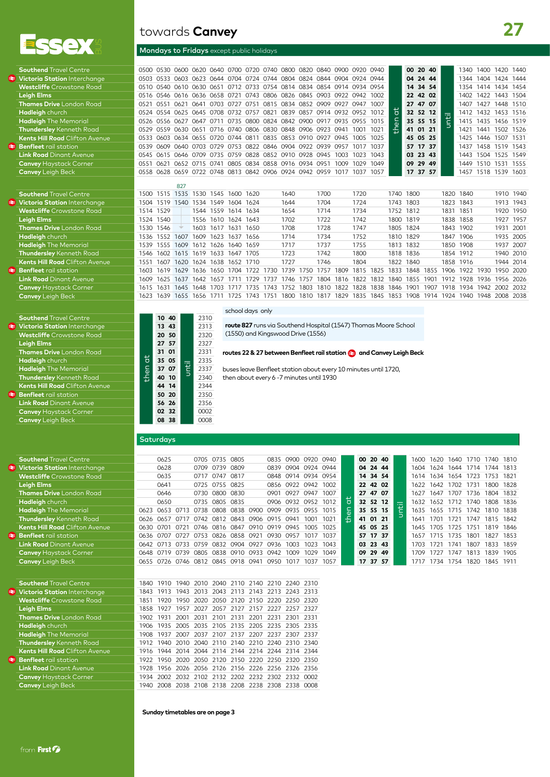

| <b>Southend Travel Centre</b>         |
|---------------------------------------|
| Victoria Station Interchange          |
| <b>Westcliffe Crowstone Road</b>      |
| <b>Leigh Elms</b>                     |
| <b>Thames Drive London Road</b>       |
| Hadleigh church                       |
| <b>Hadleigh</b> The Memorial          |
| <b>Thundersley</b> Kenneth Road       |
| <b>Kents Hill Road Clifton Avenue</b> |
| <b>Benfleet</b> rail station          |
| <b>Link Road Dinant Avenue</b>        |
| <b>Canvey Haystack Corner</b>         |
| <b>Canvey Leigh Beck</b>              |
|                                       |

| <b>Southend</b> Travel Centre         |
|---------------------------------------|
| <b>Victoria Station Interchange</b>   |
| <b>Westcliffe</b> Crowstone Road      |
| <b>Leigh Elms</b>                     |
| <b>Thames Drive</b> London Road       |
| Hadleigh church                       |
| <b>Hadleigh</b> The Memorial          |
| <b>Thundersley Kenneth Road</b>       |
| <b>Kents Hill Road Clifton Avenue</b> |
| <b>E</b> Benfleet rail station        |
| <b>Link Road Dinant Avenue</b>        |
| <b>Canvey Haystack Corner</b>         |
| <b>Canvey Leigh Beck</b>              |

| <b>Southend Travel Centre</b>         |
|---------------------------------------|
| ₹ Victoria Station Interchange        |
| <b>Westcliffe</b> Crowstone Road      |
| <b>Leigh Elms</b>                     |
| <b>Thames Drive</b> London Road       |
| Hadleigh church                       |
| <b>Hadleigh</b> The Memorial          |
| <b>Thundersley Kenneth Road</b>       |
| <b>Kents Hill Road Clifton Avenue</b> |
| <b>Benfleet</b> rail station          |
| <b>Link Road</b> Dinant Avenue        |
| <b>Canvey Haystack Corner</b>         |
| Capuau Loigh Poel                     |

| <b>Southend Travel Centre</b>         |
|---------------------------------------|
| Victoria Station Interchange          |
| <b>Westcliffe</b> Crowstone Road      |
| <b>Leigh Elms</b>                     |
| <b>Thames Drive</b> London Road       |
| Hadleigh church                       |
| <b>Hadleigh</b> The Memorial          |
| Thundersley Kenneth Road              |
| <b>Kents Hill Road Clifton Avenue</b> |
| <b>Benfleet</b> rail station          |
| <b>Link Road</b> Dinant Avenue        |
| <b>Canvey Haystack Corner</b>         |
| <b>Canvey</b> Leigh Beck              |
|                                       |
|                                       |
| <b>Southend Travel Centre</b>         |
| Victoria Station Interchange          |
| <b>Westcliffe</b> Crowstone Road      |
| <b>Leigh Elms</b>                     |
| <b>Thames Drive</b> London Road       |
| Hadleigh church                       |
| <b>Hadleigh</b> The Memorial          |

| <b>Indigersiey</b> Nenneth Rodd      |
|--------------------------------------|
| <b>Kents Hill Road Clifton Avenu</b> |
| <b>Benfleet</b> rail station         |
| <b>Link Road Dinant Avenue</b>       |
| <b>Canvey Haystack Corner</b>        |
| <b>Canvey</b> Leigh Beck             |
|                                      |

## towards **Canvey**

### Mondays to Fridays except public holidays

| <b>Southend Travel Centre</b>         | 0.500 | O530        | 0600                                                             |           |           |                          |      | 0620 0640 0700 0720 0740 0800 0820      |                          |           |           | 0840 0900 0920 0940 |           |      |                | 00 <sup>1</sup> | 20 40 |      |           | 340       | 1400      | 1420           | 1440 |
|---------------------------------------|-------|-------------|------------------------------------------------------------------|-----------|-----------|--------------------------|------|-----------------------------------------|--------------------------|-----------|-----------|---------------------|-----------|------|----------------|-----------------|-------|------|-----------|-----------|-----------|----------------|------|
| Victoria Station Interchange          | 0503  | 0533        | 0603                                                             |           |           |                          |      | 0623 0644 0704 0724 0744 0804 0824      |                          |           | 0844 0904 |                     | 0924      | 0944 |                | 04              | 24 44 |      |           | 1344      | 1404      | 1424           | 1444 |
| <b>Westcliffe</b> Crowstone Road      | 0510  |             | 0540 0610 0630 0651 0712 0733 0754 0814 0834 0854 0914 0934 0954 |           |           |                          |      |                                         |                          |           |           |                     |           |      |                | 14              | 34 54 |      |           | 1354      | 1414 1434 |                | 1454 |
| Leigh Elms                            | 0516  |             | 0546 0616 0636 0658 0721                                         |           |           |                          |      | 0743 0806 0826 0845 0903 0922           |                          |           |           |                     | 0942      | 1002 |                | 22              | 42 02 |      |           | 1402      | 1422      | 1443           | 1504 |
| <b>Thames Drive</b> London Road       | 0521  | 0551        | 0621                                                             | 0641      | 0703 0727 |                          | 0751 | 0815 0834                               |                          | 0852 0909 |           | 0927                | 0947      | 1007 |                | 27              | 47    | 07   |           | 1407      | 1427      | 1448           | 1510 |
| Hadleigh church                       | 0524  | 0554        | 0625                                                             |           |           | 0645 0708 0732 0757 0821 |      |                                         | 0839 0857 0914 0932 0952 |           |           |                     |           | 1012 | ō              | 32              | 52 12 |      |           | 1412      | 1432 1453 |                | 1516 |
| <b>Hadleigh</b> The Memorial          | 0526  | 0556 0627   |                                                                  | 0647      | 0711      |                          |      | 0735 0800 0824 0842 0900 0917 0935 0955 |                          |           |           |                     |           | 1015 | $\overline{6}$ | 35              | 55 15 |      |           | 1415      |           | 1435 1456 1519 |      |
| <b>Thundersley</b> Kenneth Road       | 0529  | 0559 0630   |                                                                  | 0651      |           |                          |      | 0716 0740 0806 0830 0848 0906 0923      |                          |           |           | 0941                | 1001      | 1021 | 좀              | 41              | 01    | 21   |           | 1421      | 1441      | 1502           | 1526 |
| <b>Kents Hill Road</b> Clifton Avenue | 0533  | <b>0603</b> | 0634                                                             | 0655 0720 |           | 0744                     | 0811 | 0835                                    | 0853 0910                |           | 0927      | 0945                | 1005      | 1025 |                | 45              | 05 25 |      |           | 1425      | 1446      | 1507           | 1531 |
| <b>Benfleet</b> rail station          | 0539  | 0609        | 0640 0703 0729 0753 0822 0846 0904 0922 0939 0957                |           |           |                          |      |                                         |                          |           |           |                     | 1017      | 1037 |                | 57              | 17 37 |      |           | 1437      | 1458 1519 |                | 1543 |
| <b>Link Road</b> Dinant Avenue        |       |             | 0545 0615 0646 0709 0735 0759 0828 0852 0910 0928 0945           |           |           |                          |      |                                         |                          |           |           | 1003                | 1023      | 1043 |                | 03              | 23 43 |      |           | 1443      | 1504 1525 |                | 1549 |
| <b>Canvey Haystack Corner</b>         | 0551  | 0621        | 0652                                                             | 0715      | 0741      |                          |      | 0805 0834 0858 0916 0934 0951           |                          |           |           | 1009                | 1029      | 1049 |                | 09              | 29 49 |      |           | 1449      | 1510      | 1531           | 1555 |
| <b>Canvey</b> Leigh Beck              | 0558  | 0628        | 0659 0722 0748 0813 0842 0906 0924 0942 0959                     |           |           |                          |      |                                         |                          |           |           | 1017                | 1037      | 1057 |                | 17              | 37    | 57   |           | 1457      | 1518 1539 |                | 1603 |
|                                       |       |             | 827                                                              |           |           |                          |      |                                         |                          |           |           |                     |           |      |                |                 |       |      |           |           |           |                |      |
| <b>Southend Travel Centre</b>         | 1500  | 1515        | 1535 1530 1545                                                   |           |           | 1600                     | 1620 |                                         | 1640                     |           | 1700      |                     | 1720      |      | 1740 1800      |                 |       |      | 1820      | 1840      |           | 1910 1940      |      |
| Victoria Station Interchange          | 1504  | 1519        | 1540 1534 1549                                                   |           |           | 1604 1624                |      |                                         | 1644                     |           | 1704      |                     | 1724      |      | 1743           | 1803            |       |      | 1823      | 1843      |           | 1913           | 1943 |
| <b>Westcliffe</b> Crowstone Road      | 1514  | 1529        |                                                                  |           | 1544 1559 | 1614 1634                |      |                                         | 1654                     |           | 1714      |                     | 1734      |      | 1752 1812      |                 |       |      | 1831      | 1851      |           | 1920           | 1950 |
| <b>Leigh Elms</b>                     | 1524  | 1540        |                                                                  |           |           | 1556 1610 1624 1643      |      |                                         | 1702                     |           | 1722      |                     | 1742      |      | 1800 1819      |                 |       |      | 1838      | 1858      |           | 1927           | 1957 |
| <b>Thames Drive</b> London Road       | 1530  | 1546        |                                                                  | 1603      | 1617      | 1631                     | 1650 |                                         | 1708                     |           | 1728      |                     | 1747      |      | 1805           | 1824            |       |      | 1843      | 1902      |           | 1931           | 2001 |
| <b>Hadleiah</b> church                | 1536  | 1552        | 1607                                                             | 1609      | 1623      | 1637                     | 1656 |                                         | 1714                     |           | 1734      |                     | 1752      |      | 1810           | 1829            |       |      | 1847      | 1906      |           | 1935           | 2005 |
| <b>Hadleigh</b> The Memorial          | 1539  | 1555        | 1609                                                             | 1612 1626 |           | 1640 1659                |      |                                         | 1717                     |           | 1737      |                     | 1755      |      | 1813 1832      |                 |       |      | 1850      | 1908      |           | 1937           | 2007 |
| <b>Thundersley</b> Kenneth Road       | 1546  | 1602        | 1615                                                             | 1619 1633 |           | 1647                     | 1705 |                                         | 1723                     |           | 1742      |                     | 1800      |      | 1818           | 1836            |       |      | 1854      | 1912      |           | 1940           | 2010 |
| <b>Kents Hill Road</b> Clifton Avenue | 1551  | 1607        | 1620                                                             | 1624      | 1638      | 1652                     | 1710 |                                         | 1727                     |           | 1746      |                     | 1804      |      | 1822           | 1840            |       |      | 1858      | 1916      |           | 1944           | 2014 |
| <b>Benfleet</b> rail station          | 1603  | 1619        | 1629                                                             | 1636 1650 |           | 1704                     | 1722 | 1730                                    | 1739                     | 1750      | 1757      | 1809                | 1815      | 1825 | 1833           | 1848            |       | 1855 | 1906      | 1922      | 1930      | 1950           | 2020 |
| <b>Link Road</b> Dinant Avenue        | 1609  | 1625        | 1637                                                             | 1642 1657 |           | 1711                     | 1729 | 1737                                    | 1746 1757                |           | 1804      | 1816                | 1822      | 1832 | 1840           | 1855            |       | 1901 | 1912      | 1928      | 1936      | 1956           | 2026 |
| <b>Canvey</b> Haystack Corner         | 1615  | 1631        | 1645                                                             | 1648      | 1703      | 1717                     | 1735 | 1743                                    | 1752                     | 1803      | 1810      | 1822                | 1828      | 1838 | 1846           | 1901            |       | 1907 | 1918      | 1934      | 1942      | 2002           | 2032 |
| <b>Canvey</b> Leiah Beck              | 1623  | 1639        | 1655 1656 1711                                                   |           |           | 1725                     | 1743 | 1751                                    | 1800                     | 1810      | 1817      | 1829                | 1835 1845 |      | 1853           | 1908            |       |      | 1914 1924 | 1940 1948 |           | 2008           | 2038 |
|                                       |       |             |                                                                  |           |           |                          |      |                                         |                          |           |           |                     |           |      |                |                 |       |      |           |           |           |                |      |

#### school days only

**route 827** runs via Southend Hospital (1547) Thomas Moore School (1550) and Kingswood Drive (1556)

### routes 22 & 27 between Benfleet rail station **and Canvey Leigh Beck**

buses leave Benfleet station about every 10 minutes until 1720, then about every 6 -7 minutes until 1930

#### **Saturdays**

**Canvey** Leigh Beck **08 38** 0008

then at

**10 40**

**Westcliffe** Crowstone Road **20 50** 2320

until

**40 10** <sup>2</sup> 2340 **Kanton Avenue 144** 14<br> **50 20** 2350 **Benfleet** rail station **50 20** 2350

**Link Road** Dinant Avenue **56 26** 2356 **Canvey 32** 0002<br>**08 38** 0008

**13 43** 2313<br>**20 50** 2320

**Leigh Elms 27 57** 2327 **31 01**  $\overline{a}$  2331 **Hadison 35 05 12** 2335 **Hadleigh** The Memorial **37 07** 2337

2310

| <b>Southend</b> Travel Centre         |                | 0625 |      | 0705 0735 0805 |                                              |                     | 0835 0900 0920 0940 |           |      |        | 00 20 40 |  | 1600 | 1620      | 1640                          | 1710 | 1740 1810 |  |
|---------------------------------------|----------------|------|------|----------------|----------------------------------------------|---------------------|---------------------|-----------|------|--------|----------|--|------|-----------|-------------------------------|------|-----------|--|
| Victoria Station Interchange          |                | 0628 |      | 0709 0739 0809 |                                              |                     | 0839 0904 0924 0944 |           |      |        | 04 24 44 |  | 1604 | 1624      | 1644 1714                     |      | 1744 1813 |  |
| <b>Westcliffe</b> Crowstone Road      |                | 0635 |      | 0717 0747 0817 |                                              |                     | 0848 0914 0934 0954 |           |      |        | 14 34 54 |  |      |           | 1614 1634 1654 1723           |      | 1753 1821 |  |
| Leigh Elms                            |                | 0641 |      | 0725 0755 0825 |                                              |                     | 0856 0922 0942 1002 |           |      |        | 22 42 02 |  |      | 1622 1642 | 1702                          | 1731 | 1800 1828 |  |
| <b>Thames Drive</b> London Road       |                | 0646 |      |                | 0730 0800 0830                               |                     | 0901 0927 0947 1007 |           |      |        | 27 47 07 |  | 1627 |           | 1647 1707 1736 1804 1832      |      |           |  |
| <b>Hadleigh</b> church                |                | 0650 |      | 0735 0805 0835 |                                              |                     | 0906 0932 0952 1012 |           |      | ਨ      | 32 52 12 |  |      |           | 1632 1652 1712 1740 1808 1836 |      |           |  |
| <b>Hadleigh</b> The Memorial          | 0623 0653 0713 |      |      |                | 0738 0808 0838 0900                          | 0909 0935 0955 1015 |                     |           |      |        | 35 55 15 |  |      |           | 1635 1655 1715 1742           |      | 1810 1838 |  |
| Thundersley Kenneth Road              |                |      |      |                | 0626 0657 0717 0742 0812 0843 0906 0915 0941 |                     |                     | 1001      | 1021 | $\div$ | 41 01 21 |  | 1641 | 1701      | 1721                          | 1747 | 1815 1842 |  |
| <b>Kents Hill Road</b> Clifton Avenue | 0630 0701      |      | 0721 |                | 0746 0816 0847 0910 0919 0945                |                     |                     | 1005 1025 |      |        | 45 05 25 |  |      |           | 1645 1705 1725 1751           |      | 1819 1846 |  |
| <b>Benfleet</b> rail station          |                |      |      |                | 0636 0707 0727 0753 0826 0858 0921 0930 0957 |                     |                     | 1017 1037 |      |        | 57 17 37 |  | 1657 | 1715      | 1735 1801                     |      | 1827 1853 |  |
| <b>Link Road</b> Dinant Avenue        |                |      |      |                | 0642 0713 0733 0759 0832 0904 0927 0936 1003 |                     |                     | 1023      | 1043 |        | 03 23 43 |  |      | 1703 1721 | 1741                          | 1807 | 1833 1859 |  |
| <b>Canvey Haystack Corner</b>         | 0648 0719 0739 |      |      |                | 0805 0838 0910 0933 0942                     |                     | 1009                | 1029      | 1049 |        | 09 29 49 |  | 1709 | 1727      | 1747                          | 1813 | 1839 1905 |  |
| <b>Canvey</b> Leigh Beck              |                |      |      |                | 0655 0726 0746 0812 0845 0918 0941           | 0950 1017           |                     | 1037      | 1057 |        | 17 37 57 |  | 1717 |           | 1734 1754 1820 1845 1911      |      |           |  |
|                                       |                |      |      |                |                                              |                     |                     |           |      |        |          |  |      |           |                               |      |           |  |

| <b>Southend</b> Travel Centre         |      | 1840 1910 1940 2010 2040 2110 2140 2210 2240 2310 |  |  |  |  |
|---------------------------------------|------|---------------------------------------------------|--|--|--|--|
| Victoria Station Interchange          |      | 1843 1913 1943 2013 2043 2113 2143 2213 2243 2313 |  |  |  |  |
| <b>Westcliffe</b> Crowstone Road      | 1851 | 1920 1950 2020 2050 2120 2150 2220 2250 2320      |  |  |  |  |
| <b>Leigh Elms</b>                     |      | 1858 1927 1957 2027 2057 2127 2157 2227 2257 2327 |  |  |  |  |
| <b>Thames Drive</b> London Road       |      | 1902 1931 2001 2031 2101 2131 2201 2231 2301 2331 |  |  |  |  |
| <b>Hadleigh</b> church                |      | 1906 1935 2005 2035 2105 2135 2205 2235 2305 2335 |  |  |  |  |
| <b>Hadleigh</b> The Memorial          |      | 1908 1937 2007 2037 2107 2137 2207 2237 2307 2337 |  |  |  |  |
| <b>Thundersley</b> Kenneth Road       |      | 1912 1940 2010 2040 2110 2140 2210 2240 2310 2340 |  |  |  |  |
| <b>Kents Hill Road</b> Clifton Avenue |      | 1916 1944 2014 2044 2114 2144 2214 2244 2314 2344 |  |  |  |  |
| <b>Benfleet</b> rail station          |      | 1922 1950 2020 2050 2120 2150 2220 2250 2320 2350 |  |  |  |  |
| <b>Link Road</b> Dinant Avenue        |      | 1928 1956 2026 2056 2126 2156 2226 2256 2326 2356 |  |  |  |  |
| <b>Canvey Haystack Corner</b>         |      | 1934 2002 2032 2102 2132 2202 2232 2302 2332 0002 |  |  |  |  |
| <b>Canvey</b> Leigh Beck              |      | 1940 2008 2038 2108 2138 2208 2238 2308 2338 0008 |  |  |  |  |
|                                       |      |                                                   |  |  |  |  |

#### **Sunday timetables are on page 3**

| $\overline{a}$<br>then | 00 20 40 |            |      |      | 1600 1620 1640 1710 1740 1810 |  |
|------------------------|----------|------------|------|------|-------------------------------|--|
|                        | 04 24 44 |            |      |      | 1604 1624 1644 1714 1744 1813 |  |
|                        | 14 34 54 |            | 1614 |      | 1634 1654 1723 1753 1821      |  |
|                        | 22 42 02 |            |      |      | 1622 1642 1702 1731 1800 1828 |  |
|                        | 27 47 07 |            | 1627 |      | 1647 1707 1736 1804 1832      |  |
|                        | 32 52 12 |            |      |      | 1632 1652 1712 1740 1808 1836 |  |
|                        | 35 55 15 | <b>TEL</b> | 1635 |      | 1655 1715 1742 1810 1838      |  |
|                        | 41 01 21 |            | 1641 |      | 1701 1721 1747 1815 1842      |  |
|                        | 45 05 25 |            | 1645 |      | 1705 1725 1751 1819 1846      |  |
|                        | 57 17 37 |            | 1657 |      | 1715 1735 1801 1827 1853      |  |
|                        | 03 23 43 |            | 1703 | 1721 | 1741 1807 1833 1859           |  |
|                        | 09 29 49 |            | 1709 |      | 1727 1747 1813 1839 1905      |  |
|                        | 17 37 57 |            | 1717 |      | 1734 1754 1820 1845 1911      |  |